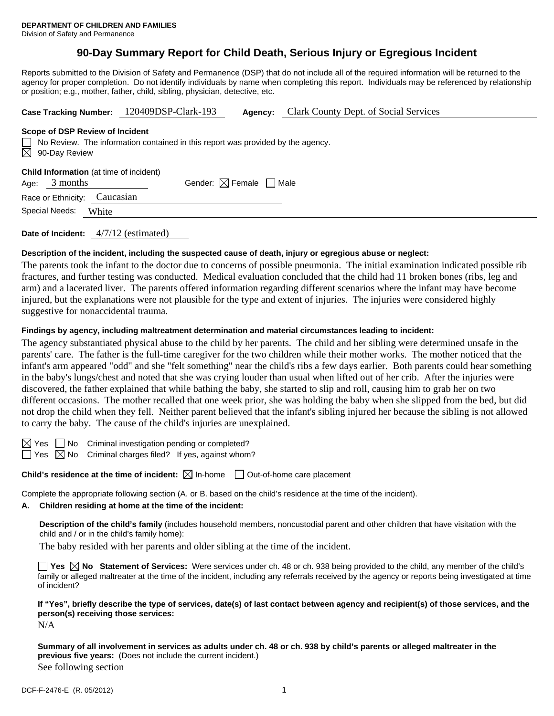# **90-Day Summary Report for Child Death, Serious Injury or Egregious Incident**

Reports submitted to the Division of Safety and Permanence (DSP) that do not include all of the required information will be returned to the agency for proper completion. Do not identify individuals by name when completing this report. Individuals may be referenced by relationship or position; e.g., mother, father, child, sibling, physician, detective, etc.

| Case Tracking Number: 120409DSP-Clark-193                                                                                                              |                                        | Agency: | Clark County Dept. of Social Services |  |  |  |  |
|--------------------------------------------------------------------------------------------------------------------------------------------------------|----------------------------------------|---------|---------------------------------------|--|--|--|--|
| Scope of DSP Review of Incident<br>$\Box$ No Review. The information contained in this report was provided by the agency.<br>$\boxtimes$ 90-Day Review |                                        |         |                                       |  |  |  |  |
| <b>Child Information</b> (at time of incident)<br>3 months<br>Age:                                                                                     | Gender: $\boxtimes$ Female $\Box$ Male |         |                                       |  |  |  |  |
| Caucasian<br>Race or Ethnicity:<br>Special Needs:<br>White                                                                                             |                                        |         |                                       |  |  |  |  |
|                                                                                                                                                        |                                        |         |                                       |  |  |  |  |

**Date of Incident:** 4/7/12 (estimated)

#### **Description of the incident, including the suspected cause of death, injury or egregious abuse or neglect:**

The parents took the infant to the doctor due to concerns of possible pneumonia. The initial examination indicated possible rib fractures, and further testing was conducted. Medical evaluation concluded that the child had 11 broken bones (ribs, leg and arm) and a lacerated liver. The parents offered information regarding different scenarios where the infant may have become injured, but the explanations were not plausible for the type and extent of injuries. The injuries were considered highly suggestive for nonaccidental trauma.

#### **Findings by agency, including maltreatment determination and material circumstances leading to incident:**

The agency substantiated physical abuse to the child by her parents. The child and her sibling were determined unsafe in the parents' care. The father is the full-time caregiver for the two children while their mother works. The mother noticed that the infant's arm appeared "odd" and she "felt something" near the child's ribs a few days earlier. Both parents could hear something in the baby's lungs/chest and noted that she was crying louder than usual when lifted out of her crib. After the injuries were discovered, the father explained that while bathing the baby, she started to slip and roll, causing him to grab her on two different occasions. The mother recalled that one week prior, she was holding the baby when she slipped from the bed, but did not drop the child when they fell. Neither parent believed that the infant's sibling injured her because the sibling is not allowed to carry the baby. The cause of the child's injuries are unexplained.

 $\boxtimes$  Yes  $\Box$  No Criminal investigation pending or completed?

 $\Box$  Yes  $\boxtimes$  No Criminal charges filed? If yes, against whom?

**Child's residence at the time of incident:**  $\boxtimes$  In-home  $\Box$  Out-of-home care placement

Complete the appropriate following section (A. or B. based on the child's residence at the time of the incident).

# **A. Children residing at home at the time of the incident:**

**Description of the child's family** (includes household members, noncustodial parent and other children that have visitation with the child and / or in the child's family home):

The baby resided with her parents and older sibling at the time of the incident.

■ Yes **No** Statement of Services: Were services under ch. 48 or ch. 938 being provided to the child, any member of the child's family or alleged maltreater at the time of the incident, including any referrals received by the agency or reports being investigated at time of incident?

## **If "Yes", briefly describe the type of services, date(s) of last contact between agency and recipient(s) of those services, and the person(s) receiving those services:**

N/A

**Summary of all involvement in services as adults under ch. 48 or ch. 938 by child's parents or alleged maltreater in the previous five years:** (Does not include the current incident.) See following section